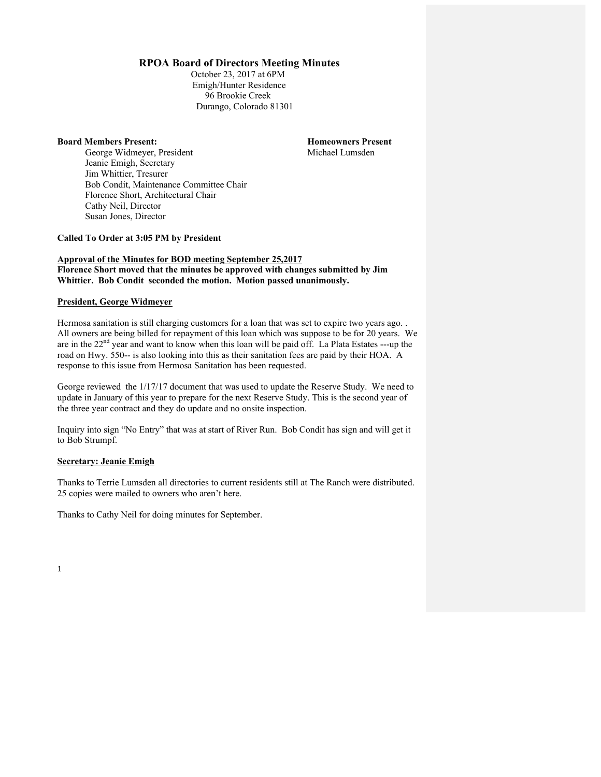# **RPOA Board of Directors Meeting Minutes**

October 23, 2017 at 6PM Emigh/Hunter Residence 96 Brookie Creek Durango, Colorado 81301

### **Board Members Present: Homeowners Present**

George Widmeyer, President Michael Lumsden Jeanie Emigh, Secretary Jim Whittier, Tresurer Bob Condit, Maintenance Committee Chair Florence Short, Architectural Chair Cathy Neil, Director Susan Jones, Director

**Called To Order at 3:05 PM by President**

### **Approval of the Minutes for BOD meeting September 25,2017 Florence Short moved that the minutes be approved with changes submitted by Jim Whittier. Bob Condit seconded the motion. Motion passed unanimously.**

# **President, George Widmeyer**

Hermosa sanitation is still charging customers for a loan that was set to expire two years ago. . All owners are being billed for repayment of this loan which was suppose to be for 20 years. We are in the  $22<sup>nd</sup>$  year and want to know when this loan will be paid off. La Plata Estates ---up the road on Hwy. 550-- is also looking into this as their sanitation fees are paid by their HOA. A response to this issue from Hermosa Sanitation has been requested.

George reviewed the 1/17/17 document that was used to update the Reserve Study. We need to update in January of this year to prepare for the next Reserve Study. This is the second year of the three year contract and they do update and no onsite inspection.

Inquiry into sign "No Entry" that was at start of River Run. Bob Condit has sign and will get it to Bob Strumpf.

## **Secretary: Jeanie Emigh**

Thanks to Terrie Lumsden all directories to current residents still at The Ranch were distributed. 25 copies were mailed to owners who aren't here.

Thanks to Cathy Neil for doing minutes for September.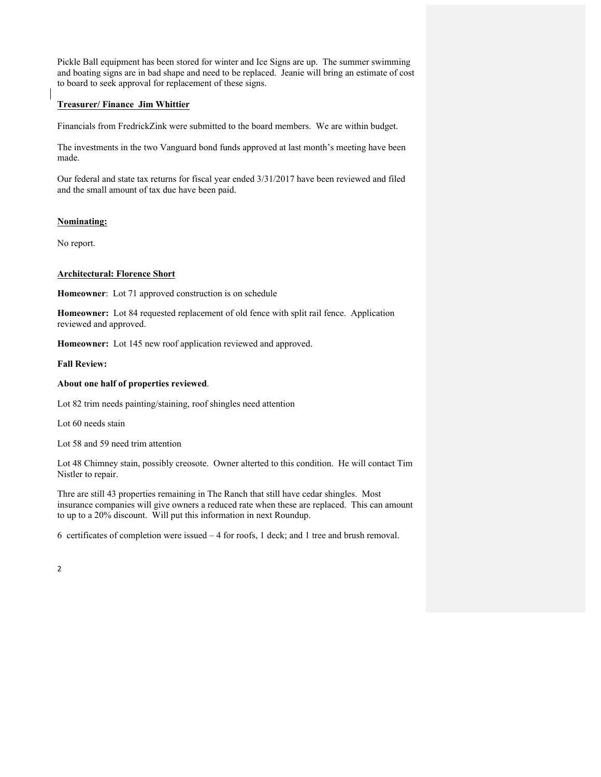Pickle Ball equipment has been stored for winter and Ice Signs are up. The summer swimming and boating signs are in bad shape and need to be replaced. Jeanie will bring an estimate of cost to board to seek approval for replacement of these signs.

# **Treasurer/ Finance Jim Whittier**

Financials from FredrickZink were submitted to the board members. We are within budget.

The investments in the two Vanguard bond funds approved at last month's meeting have been made.

Our federal and state tax returns for fiscal year ended 3/31/2017 have been reviewed and filed and the small amount of tax due have been paid.

# **Nominating:**

No report.

## **Architectural: Florence Short**

**Homeowner**: Lot 71 approved construction is on schedule

**Homeowner:** Lot 84 requested replacement of old fence with split rail fence. Application reviewed and approved.

**Homeowner:** Lot 145 new roof application reviewed and approved.

### **Fall Review:**

### **About one half of properties reviewed**.

Lot 82 trim needs painting/staining, roof shingles need attention

Lot 60 needs stain

Lot 58 and 59 need trim attention

Lot 48 Chimney stain, possibly creosote. Owner alterted to this condition. He will contact Tim Nistler to repair.

Thre are still 43 properties remaining in The Ranch that still have cedar shingles. Most insurance companies will give owners a reduced rate when these are replaced. This can amount to up to a 20% discount. Will put this information in next Roundup.

6 certificates of completion were issued  $-4$  for roofs, 1 deck; and 1 tree and brush removal.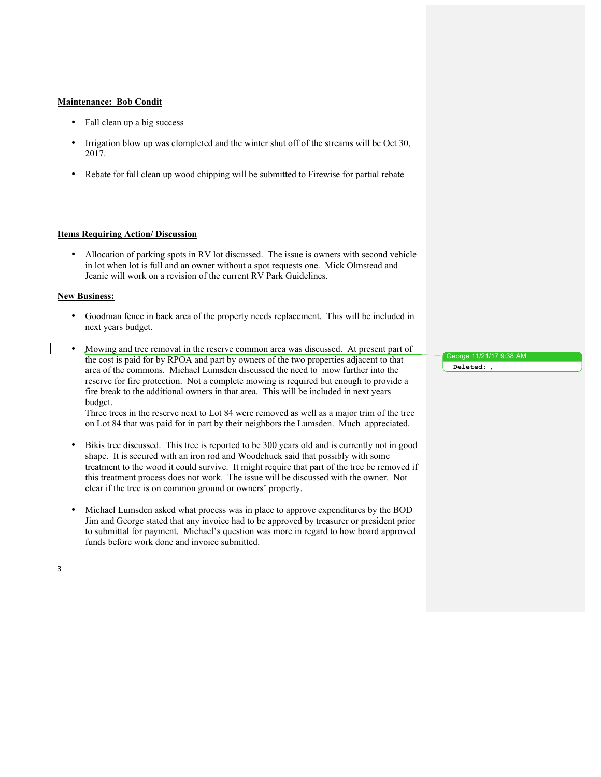## **Maintenance: Bob Condit**

- Fall clean up a big success
- Irrigation blow up was clompleted and the winter shut off of the streams will be Oct 30, 2017.
- Rebate for fall clean up wood chipping will be submitted to Firewise for partial rebate

#### **Items Requiring Action/ Discussion**

• Allocation of parking spots in RV lot discussed. The issue is owners with second vehicle in lot when lot is full and an owner without a spot requests one. Mick Olmstead and Jeanie will work on a revision of the current RV Park Guidelines.

#### **New Business:**

- Goodman fence in back area of the property needs replacement. This will be included in next years budget.
- Mowing and tree removal in the reserve common area was discussed. At present part of the cost is paid for by RPOA and part by owners of the two properties adjacent to that area of the commons. Michael Lumsden discussed the need to mow further into the reserve for fire protection. Not a complete mowing is required but enough to provide a fire break to the additional owners in that area. This will be included in next years budget.

Three trees in the reserve next to Lot 84 were removed as well as a major trim of the tree on Lot 84 that was paid for in part by their neighbors the Lumsden. Much appreciated.

- Bikis tree discussed. This tree is reported to be 300 years old and is currently not in good shape. It is secured with an iron rod and Woodchuck said that possibly with some treatment to the wood it could survive. It might require that part of the tree be removed if this treatment process does not work. The issue will be discussed with the owner. Not clear if the tree is on common ground or owners' property.
- Michael Lumsden asked what process was in place to approve expenditures by the BOD Jim and George stated that any invoice had to be approved by treasurer or president prior to submittal for payment. Michael's question was more in regard to how board approved funds before work done and invoice submitted.

George 11/21/17 9:38 AM **Deleted:** ,